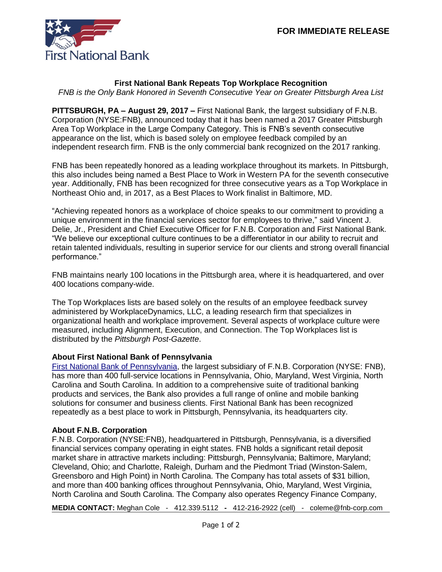

## **First National Bank Repeats Top Workplace Recognition**

*FNB is the Only Bank Honored in Seventh Consecutive Year on Greater Pittsburgh Area List*

**PITTSBURGH, PA – August 29, 2017 –** First National Bank, the largest subsidiary of F.N.B. Corporation (NYSE:FNB), announced today that it has been named a 2017 Greater Pittsburgh Area Top Workplace in the Large Company Category. This is FNB's seventh consecutive appearance on the list, which is based solely on employee feedback compiled by an independent research firm. FNB is the only commercial bank recognized on the 2017 ranking.

FNB has been repeatedly honored as a leading workplace throughout its markets. In Pittsburgh, this also includes being named a Best Place to Work in Western PA for the seventh consecutive year. Additionally, FNB has been recognized for three consecutive years as a Top Workplace in Northeast Ohio and, in 2017, as a Best Places to Work finalist in Baltimore, MD.

"Achieving repeated honors as a workplace of choice speaks to our commitment to providing a unique environment in the financial services sector for employees to thrive," said Vincent J. Delie, Jr., President and Chief Executive Officer for F.N.B. Corporation and First National Bank. "We believe our exceptional culture continues to be a differentiator in our ability to recruit and retain talented individuals, resulting in superior service for our clients and strong overall financial performance."

FNB maintains nearly 100 locations in the Pittsburgh area, where it is headquartered, and over 400 locations company-wide.

The Top Workplaces lists are based solely on the results of an employee feedback survey administered by WorkplaceDynamics, LLC, a leading research firm that specializes in organizational health and workplace improvement. Several aspects of workplace culture were measured, including Alignment, Execution, and Connection. The Top Workplaces list is distributed by the *Pittsburgh Post-Gazette*.

## **About First National Bank of Pennsylvania**

[First National Bank of Pennsylvania,](https://www.fnb-online.com/) the largest subsidiary of F.N.B. Corporation (NYSE: FNB), has more than 400 full-service locations in Pennsylvania, Ohio, Maryland, West Virginia, North Carolina and South Carolina. In addition to a comprehensive suite of traditional banking products and services, the Bank also provides a full range of online and mobile banking solutions for consumer and business clients. First National Bank has been recognized repeatedly as a best place to work in Pittsburgh, Pennsylvania, its headquarters city.

## **About F.N.B. Corporation**

F.N.B. Corporation (NYSE:FNB), headquartered in Pittsburgh, Pennsylvania, is a diversified financial services company operating in eight states. FNB holds a significant retail deposit market share in attractive markets including: Pittsburgh, Pennsylvania; Baltimore, Maryland; Cleveland, Ohio; and Charlotte, Raleigh, Durham and the Piedmont Triad (Winston-Salem, Greensboro and High Point) in North Carolina. The Company has total assets of \$31 billion, and more than 400 banking offices throughout Pennsylvania, Ohio, Maryland, West Virginia, North Carolina and South Carolina. The Company also operates Regency Finance Company,

**MEDIA CONTACT:** Meghan Cole - [412.339.5112](mailto:412.339.5112) **-** 412-216-2922 (cell) - coleme@fnb-corp.com